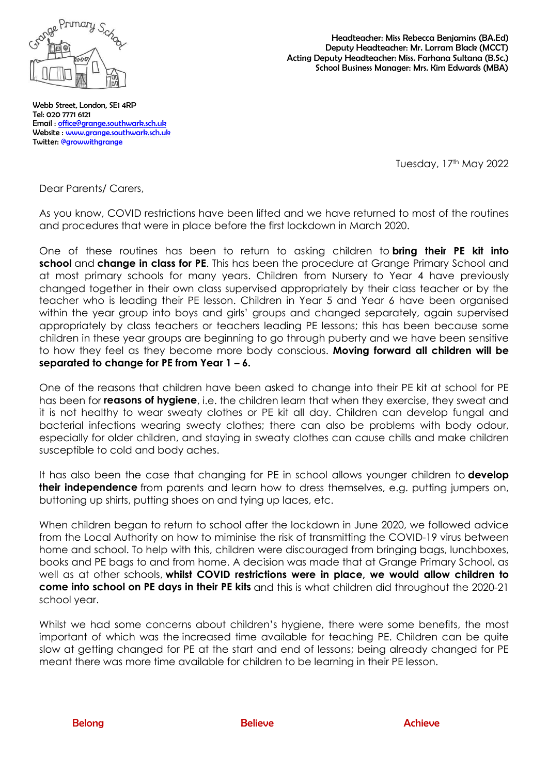

Headteacher: Miss Rebecca Benjamins (BA.Ed) Deputy Headteacher: Mr. Lorram Black (MCCT) Acting Deputy Headteacher: Miss. Farhana Sultana (B.Sc.) School Business Manager: Mrs. Kim Edwards (MBA)

Webb Street, London, SE1 4RP Tel: 020 7771 6121 Email : [office@grange.southwark.sch.uk](mailto:office@grange.southwark.sch.uk)  Website : [www.grange.southwark.sch.uk](http://www.grange.southwark.sch.uk/)  Twitter: @growwithgrange

Tuesday, 17<sup>th</sup> May 2022

Dear Parents/ Carers,

As you know, COVID restrictions have been lifted and we have returned to most of the routines and procedures that were in place before the first lockdown in March 2020.

One of these routines has been to return to asking children to **bring their PE kit into school** and **change in class for PE**. This has been the procedure at Grange Primary School and at most primary schools for many years. Children from Nursery to Year 4 have previously changed together in their own class supervised appropriately by their class teacher or by the teacher who is leading their PE lesson. Children in Year 5 and Year 6 have been organised within the year group into boys and girls' groups and changed separately, again supervised appropriately by class teachers or teachers leading PE lessons; this has been because some children in these year groups are beginning to go through puberty and we have been sensitive to how they feel as they become more body conscious. **Moving forward all children will be separated to change for PE from Year 1 – 6.**

One of the reasons that children have been asked to change into their PE kit at school for PE has been for **reasons of hygiene**, i.e. the children learn that when they exercise, they sweat and it is not healthy to wear sweaty clothes or PE kit all day. Children can develop fungal and bacterial infections wearing sweaty clothes; there can also be problems with body odour, especially for older children, and staying in sweaty clothes can cause chills and make children susceptible to cold and body aches.

It has also been the case that changing for PE in school allows younger children to **develop their independence** from parents and learn how to dress themselves, e.g. putting jumpers on, buttoning up shirts, putting shoes on and tying up laces, etc.

When children began to return to school after the lockdown in June 2020, we followed advice from the Local Authority on how to miminise the risk of transmitting the COVID-19 virus between home and school. To help with this, children were discouraged from bringing bags, lunchboxes, books and PE bags to and from home. A decision was made that at Grange Primary School, as well as at other schools, **whilst COVID restrictions were in place, we would allow children to come into school on PE days in their PE kits** and this is what children did throughout the 2020-21 school year.

Whilst we had some concerns about children's hygiene, there were some benefits, the most important of which was the increased time available for teaching PE. Children can be quite slow at getting changed for PE at the start and end of lessons; being already changed for PE meant there was more time available for children to be learning in their PE lesson.